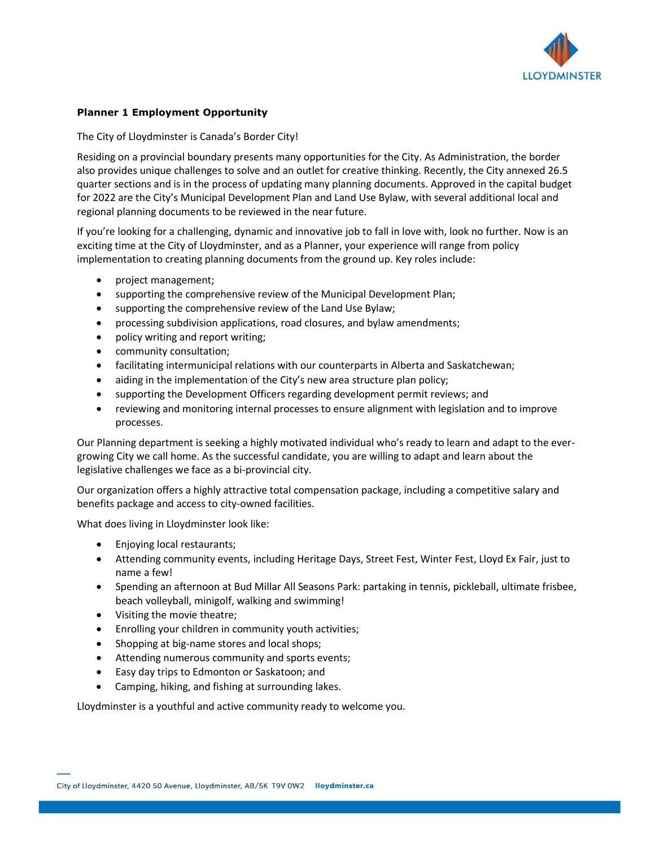

#### **Planner 1 Employment Opportunity**

#### The City of Lloydminster is Canada's Border City!

Residing on a provincial boundary presents many opportunities for the City. As Administration, the border also provides unique challenges to solve and an outlet for creative thinking. Recently, the City annexed 26.5 quarter sections and is in the process of updating many planning documents. Approved in the capital budget for 2022 are the City's Municipal Development Plan and Land Use Bylaw, with several additional local and regional planning documents to be reviewed in the near future.

If you're looking for a challenging, dynamic and innovative job to fall in love with, look no further. Now is an exciting time at the City of Lloydminster, and as a Planner, your experience will range from policy implementation to creating planning documents from the ground up. Key roles include:

- project management;
- supporting the comprehensive review of the Municipal Development Plan;
- supporting the comprehensive review of the Land Use Bylaw;
- processing subdivision applications, road closures, and bylaw amendments;
- policy writing and report writing;
- community consultation;
- facilitating intermunicipal relations with our counterparts in Alberta and Saskatchewan;
- aiding in the implementation of the City's new area structure plan policy;
- supporting the Development Officers regarding development permit reviews; and
- reviewing and monitoring internal processes to ensure alignment with legislation and to improve processes.

Our Planning department is seeking a highly motivated individual who's ready to learn and adapt to the evergrowing City we call home. As the successful candidate, you are willing to adapt and learn about the legislative challenges we face as a bi-provincial city.

Our organization offers a highly attractive total compensation package, including a competitive salary and benefits package and access to city-owned facilities.

What does living in Lloydminster look like:

- Enjoying local restaurants;
- Attending community events, including Heritage Days, Street Fest, Winter Fest, Lloyd Ex Fair, just to name a few!
- Spending an afternoon at Bud Millar All Seasons Park: partaking in tennis, pickleball, ultimate frisbee, beach volleyball, minigolf, walking and swimming!
- Visiting the movie theatre;
- Enrolling your children in community youth activities;
- Shopping at big-name stores and local shops;
- Attending numerous community and sports events;
- Easy day trips to Edmonton or Saskatoon; and
- Camping, hiking, and fishing at surrounding lakes.

Lloydminster is a youthful and active community ready to welcome you.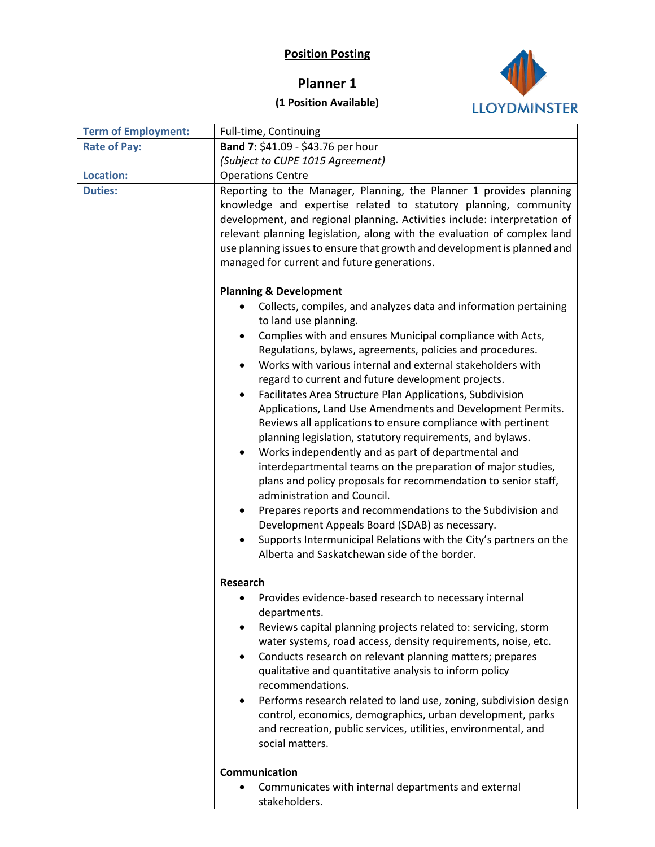### **Position Posting**

# **Planner 1**



## **(1 Position Available)**

| <b>Term of Employment:</b> | Full-time, Continuing                                                                                                                                                                                                                                                                                                                                                                                                                                                                                                                                                                                                                                                                                                                                                                                                                                        |
|----------------------------|--------------------------------------------------------------------------------------------------------------------------------------------------------------------------------------------------------------------------------------------------------------------------------------------------------------------------------------------------------------------------------------------------------------------------------------------------------------------------------------------------------------------------------------------------------------------------------------------------------------------------------------------------------------------------------------------------------------------------------------------------------------------------------------------------------------------------------------------------------------|
| <b>Rate of Pay:</b>        | Band 7: \$41.09 - \$43.76 per hour                                                                                                                                                                                                                                                                                                                                                                                                                                                                                                                                                                                                                                                                                                                                                                                                                           |
|                            | (Subject to CUPE 1015 Agreement)                                                                                                                                                                                                                                                                                                                                                                                                                                                                                                                                                                                                                                                                                                                                                                                                                             |
| <b>Location:</b>           | <b>Operations Centre</b>                                                                                                                                                                                                                                                                                                                                                                                                                                                                                                                                                                                                                                                                                                                                                                                                                                     |
| <b>Duties:</b>             | Reporting to the Manager, Planning, the Planner 1 provides planning<br>knowledge and expertise related to statutory planning, community<br>development, and regional planning. Activities include: interpretation of<br>relevant planning legislation, along with the evaluation of complex land<br>use planning issues to ensure that growth and development is planned and<br>managed for current and future generations.                                                                                                                                                                                                                                                                                                                                                                                                                                  |
|                            | <b>Planning &amp; Development</b><br>Collects, compiles, and analyzes data and information pertaining<br>to land use planning.<br>Complies with and ensures Municipal compliance with Acts,<br>Regulations, bylaws, agreements, policies and procedures.<br>Works with various internal and external stakeholders with<br>regard to current and future development projects.<br>Facilitates Area Structure Plan Applications, Subdivision<br>Applications, Land Use Amendments and Development Permits.<br>Reviews all applications to ensure compliance with pertinent<br>planning legislation, statutory requirements, and bylaws.<br>Works independently and as part of departmental and<br>interdepartmental teams on the preparation of major studies,<br>plans and policy proposals for recommendation to senior staff,<br>administration and Council. |
|                            | Prepares reports and recommendations to the Subdivision and<br>Development Appeals Board (SDAB) as necessary.<br>Supports Intermunicipal Relations with the City's partners on the<br>Alberta and Saskatchewan side of the border.                                                                                                                                                                                                                                                                                                                                                                                                                                                                                                                                                                                                                           |
|                            | <b>Research</b>                                                                                                                                                                                                                                                                                                                                                                                                                                                                                                                                                                                                                                                                                                                                                                                                                                              |
|                            | Provides evidence-based research to necessary internal<br>departments.<br>Reviews capital planning projects related to: servicing, storm<br>water systems, road access, density requirements, noise, etc.<br>Conducts research on relevant planning matters; prepares<br>qualitative and quantitative analysis to inform policy<br>recommendations.<br>Performs research related to land use, zoning, subdivision design<br>$\bullet$<br>control, economics, demographics, urban development, parks<br>and recreation, public services, utilities, environmental, and<br>social matters.                                                                                                                                                                                                                                                                     |
|                            | Communication                                                                                                                                                                                                                                                                                                                                                                                                                                                                                                                                                                                                                                                                                                                                                                                                                                                |
|                            | Communicates with internal departments and external<br>stakeholders.                                                                                                                                                                                                                                                                                                                                                                                                                                                                                                                                                                                                                                                                                                                                                                                         |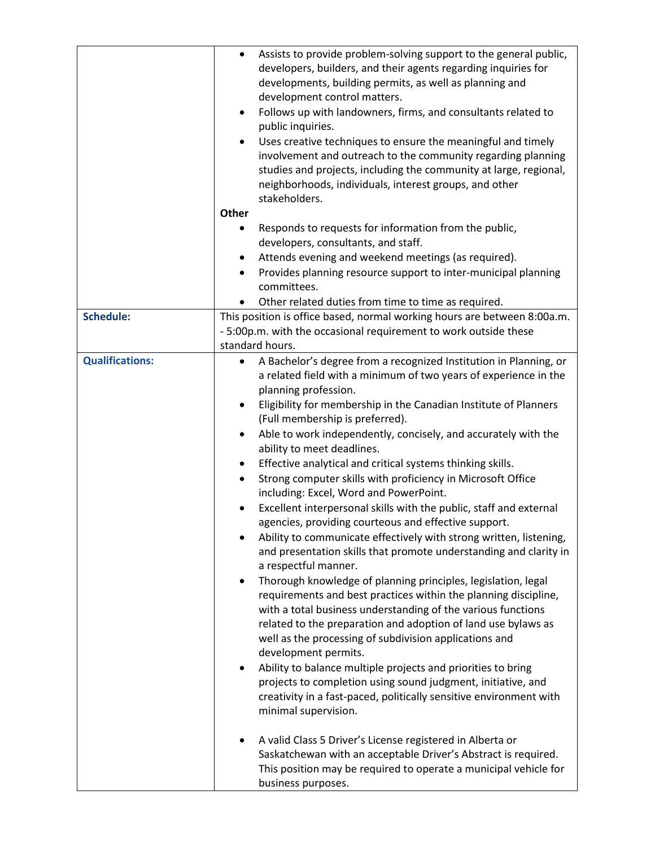|                        | Assists to provide problem-solving support to the general public,<br>$\bullet$<br>developers, builders, and their agents regarding inquiries for<br>developments, building permits, as well as planning and<br>development control matters.<br>Follows up with landowners, firms, and consultants related to<br>$\bullet$<br>public inquiries.<br>Uses creative techniques to ensure the meaningful and timely<br>involvement and outreach to the community regarding planning<br>studies and projects, including the community at large, regional,<br>neighborhoods, individuals, interest groups, and other<br>stakeholders.<br><b>Other</b><br>Responds to requests for information from the public,<br>٠<br>developers, consultants, and staff.                                                                                                                                                                                                                                                                                                                                                                                                                                                                                                                                                                                                                                                                                                                                                                                                          |
|------------------------|--------------------------------------------------------------------------------------------------------------------------------------------------------------------------------------------------------------------------------------------------------------------------------------------------------------------------------------------------------------------------------------------------------------------------------------------------------------------------------------------------------------------------------------------------------------------------------------------------------------------------------------------------------------------------------------------------------------------------------------------------------------------------------------------------------------------------------------------------------------------------------------------------------------------------------------------------------------------------------------------------------------------------------------------------------------------------------------------------------------------------------------------------------------------------------------------------------------------------------------------------------------------------------------------------------------------------------------------------------------------------------------------------------------------------------------------------------------------------------------------------------------------------------------------------------------|
|                        | Attends evening and weekend meetings (as required).<br>Provides planning resource support to inter-municipal planning<br>$\bullet$                                                                                                                                                                                                                                                                                                                                                                                                                                                                                                                                                                                                                                                                                                                                                                                                                                                                                                                                                                                                                                                                                                                                                                                                                                                                                                                                                                                                                           |
|                        | committees.<br>Other related duties from time to time as required.                                                                                                                                                                                                                                                                                                                                                                                                                                                                                                                                                                                                                                                                                                                                                                                                                                                                                                                                                                                                                                                                                                                                                                                                                                                                                                                                                                                                                                                                                           |
| <b>Schedule:</b>       | This position is office based, normal working hours are between 8:00a.m.<br>- 5:00p.m. with the occasional requirement to work outside these<br>standard hours.                                                                                                                                                                                                                                                                                                                                                                                                                                                                                                                                                                                                                                                                                                                                                                                                                                                                                                                                                                                                                                                                                                                                                                                                                                                                                                                                                                                              |
| <b>Qualifications:</b> | A Bachelor's degree from a recognized Institution in Planning, or<br>a related field with a minimum of two years of experience in the<br>planning profession.<br>Eligibility for membership in the Canadian Institute of Planners<br>$\bullet$<br>(Full membership is preferred).<br>Able to work independently, concisely, and accurately with the<br>$\bullet$<br>ability to meet deadlines.<br>Effective analytical and critical systems thinking skills.<br>٠<br>Strong computer skills with proficiency in Microsoft Office<br>$\bullet$<br>including: Excel, Word and PowerPoint.<br>Excellent interpersonal skills with the public, staff and external<br>agencies, providing courteous and effective support.<br>Ability to communicate effectively with strong written, listening,<br>and presentation skills that promote understanding and clarity in<br>a respectful manner.<br>Thorough knowledge of planning principles, legislation, legal<br>$\bullet$<br>requirements and best practices within the planning discipline,<br>with a total business understanding of the various functions<br>related to the preparation and adoption of land use bylaws as<br>well as the processing of subdivision applications and<br>development permits.<br>Ability to balance multiple projects and priorities to bring<br>٠<br>projects to completion using sound judgment, initiative, and<br>creativity in a fast-paced, politically sensitive environment with<br>minimal supervision.<br>A valid Class 5 Driver's License registered in Alberta or |
|                        | Saskatchewan with an acceptable Driver's Abstract is required.<br>This position may be required to operate a municipal vehicle for<br>business purposes.                                                                                                                                                                                                                                                                                                                                                                                                                                                                                                                                                                                                                                                                                                                                                                                                                                                                                                                                                                                                                                                                                                                                                                                                                                                                                                                                                                                                     |